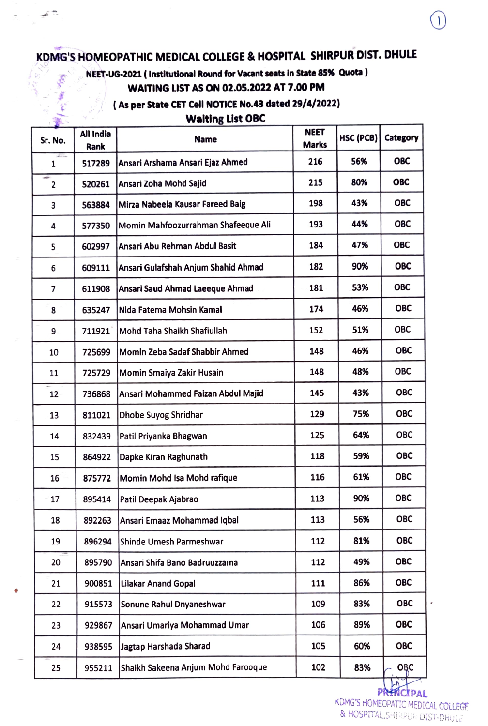## KDMG'S HOMEOPATHIC MEDICAL COLLEGE & HOSPITAL SHIRPUR DIST. DHULE

تحد

**Holes** ي -

### NEET-UG-2021 (Institutlonal Round for Vacant seats in State 85% Quota) WAITING LIST AS ON 02.05.2022 AT 7.00 PM

#### (As per State CET Cell NOTICE No.43 dated 29/4/2022)

#### Walting List OBC

| Sr. No.                 | All India<br>Rank | <b>Name</b>                         | <b>NEET</b><br><b>Marks</b> | HSC (PCB) | Category   |
|-------------------------|-------------------|-------------------------------------|-----------------------------|-----------|------------|
| 1                       | 517289            | Ansari Arshama Ansari Ejaz Ahmed    | 216                         | 56%       | <b>OBC</b> |
| edge.<br>$\overline{2}$ | 520261            | Ansari Zoha Mohd Sajid              | 215                         | 80%       | ОВС        |
| 3                       | 563884            | Mirza Nabeela Kausar Fareed Baig    | 198                         | 43%       | <b>OBC</b> |
| 4                       | 577350            | Momin Mahfoozurrahman Shafeeque Ali | 193                         | 44%       | <b>OBC</b> |
| 5                       | 602997            | Ansari Abu Rehman Abdul Basit       | 184                         | 47%       | <b>OBC</b> |
| 6                       | 609111            | Ansari Gulafshah Anjum Shahid Ahmad | 182                         | 90%       | <b>OBC</b> |
| 7                       | 611908            | Ansari Saud Ahmad Laeeque Ahmad     | 181                         | 53%       | <b>OBC</b> |
| 8                       | 635247            | Nida Fatema Mohsin Kamal            | 174                         | 46%       | <b>OBC</b> |
| 9                       | 711921            | Mohd Taha Shaikh Shafiullah         | 152                         | 51%       | <b>OBC</b> |
| 10                      | 725699            | Momin Zeba Sadaf Shabbir Ahmed      | 148                         | 46%       | <b>OBC</b> |
| 11                      | 725729            | Momin Smaiya Zakir Husain           | 148                         | 48%       | <b>OBC</b> |
| $12 -$                  | 736868            | Ansari Mohammed Faizan Abdul Majid  | 145                         | 43%       | <b>OBC</b> |
| 13                      | 811021            | Dhobe Suyog Shridhar                | 129                         | 75%       | <b>OBC</b> |
| 14                      | 832439            | Patil Priyanka Bhagwan              | 125                         | 64%       | <b>OBC</b> |
| 15                      | 864922            | Dapke Kiran Raghunath               | 118                         | 59%       | <b>OBC</b> |
| 16                      | 875772            | Momin Mohd Isa Mohd rafique         | 116                         | 61%       | <b>OBC</b> |
| 17                      | 895414            | Patil Deepak Ajabrao                | 113                         | 90%       | <b>OBC</b> |
| 18                      | 892263            | Ansari Emaaz Mohammad Iqbal         | 113                         | 56%       | <b>OBC</b> |
| 19                      | 896294            | Shinde Umesh Parmeshwar             | 112                         | 81%       | <b>OBC</b> |
| 20                      | 895790            | Ansari Shifa Bano Badruuzzama       | 112                         | 49%       | <b>OBC</b> |
| 21                      | 900851            | <b>Lilakar Anand Gopal</b>          | 111                         | 86%       | <b>OBC</b> |
| 22                      | 915573            | Sonune Rahul Dnyaneshwar            | 109                         | 83%       | <b>OBC</b> |
| 23                      | 929867            | Ansari Umariya Mohammad Umar        | 106                         | 89%       | <b>OBC</b> |
| 24                      | 938595            | Jagtap Harshada Sharad              | 105                         | 60%       | <b>OBC</b> |
| 25                      | 955211            | Shaikh Sakeena Anjum Mohd Farooque  | 102                         | 83%       | OŖC        |

PRHNCIPAL KDMG'S HOMEOPATIC MEDICAL COLLEGF &HOSPTTALSHIRPUR DIST-DHULE

 $\overline{ }$